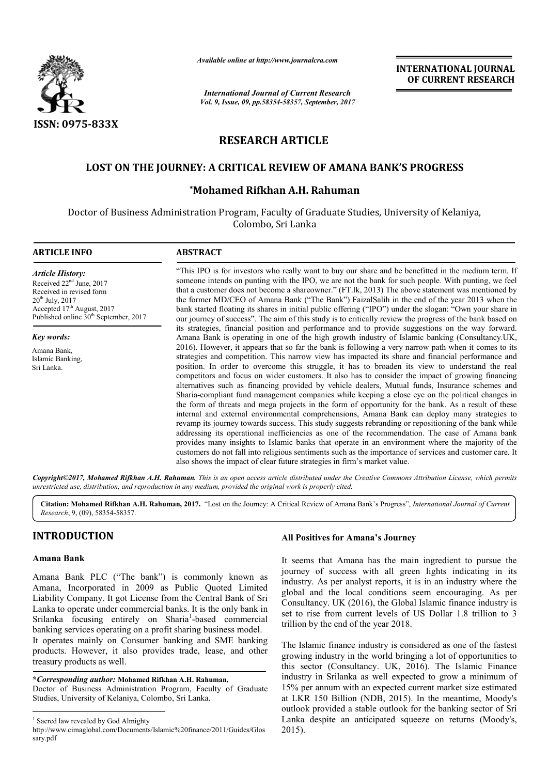

*Available online at http://www.journal http://www.journalcra.com*

*International Journal of Current Research Vol. 9, Issue, 09, pp.58354-58357, September, 2017* **INTERNATIONAL JOURNAL OF CURRENT RESEARCH** 

# **RESEARCH ARTICLE**

# **LOST ON THE JOURNEY: A CRITICAL REVIEW OF AMANA BANK'S PROGRESS JOURNEY: A**

# **\*Mohamed Rifkhan A.H. Rahuman Mohamed**

Doctor of Business Administration Program, Faculty of Graduate Studies, University of Kelaniya, Colombo, Sri Lanka

## **ARTICLE INFO ABSTRACT**

*Article History:* Received 22<sup>nd</sup> June, 2017 Received in revised form 20th July, 2017 Accepted 17<sup>th</sup> August, 2017 Published online  $30<sup>th</sup>$  September, 2017

*Key words:*

Amana Bank, Islamic Banking, Sri Lanka.

"This IPO is for investors who really want to buy our share and be benefitted in the medium term. If someone intends on punting with the IPO, we are not the bank for such people. With punting, we feel that a customer does not become a shareowner." (FT.lk, 2013) The above statement was mentioned by the former MD/CEO of Amana Bank ("The Bank") FaizalSalih in the end of the year 2013 when the bank started floating its shares in initial public offering ("IPO") under the slogan: "Ow our journey of success". The aim of this study is to critically review the progress of the bank based on its strategies, financial position and performance and to provide suggestions on the way forward. Amana Bank is operating in one of the high growth industry of Islamic banking (Consultancy.UK, 2016). However, it appears that so far the bank is following a very narrow path when it comes to its strategies and competition. This narrow view has impacted its share and financial performance and position. In order to overcome this struggle, it has to broaden its view to understand the real competitors and focus on wider customers. It also has to consider the impact of growing financing alternatives such as financing provided by vehicle dealers, M Mutual funds, Insurance schemes and Sharia--compliant fund management companies while keeping a close eye on the the form of threats and mega projects in the form of opportunity for the bank. As a result of these internal and external environmental comprehensions, Amana Bank can deploy many strategies to revamp its journey towards success. This study suggests rebranding or repositioning of the bank while addressing its operational inefficiencies as one of the recommendation. The case of Amana bank provides many insights to Islamic banks that operate in an environment where the majority of the customers do not fall into religious sentiments such as the importance of services and customer care. It also shows the impact of clear future strategies in firm's market value. "This IPO is for investors who really want to buy our share and be benefitted in the medium term. If someone intends on punting with the IPO, we are not the bank for such people. With punting, we feel that a customer does our journey of success". The aim of this study is to critically review the progress of the bank based on<br>its strategies, financial position and performance and to provide suggestions on the way forward.<br>Amana Bank is opera the form of threats and mega projects in the form of opportunity for the bank. As a result of these internal and external environmental comprehensions, Amana Bank can deploy many strategies to revamp its journey towards su provides many insights to Islamic banks that operate in an environment where customers do not fall into religious sentiments such as the importance of services a also shows the impact of clear future strategies in firm's m

Copyright©2017, Mohamed Rifkhan A.H. Rahuman. This is an open access article distributed under the Creative Commons Attribution License, which permits *unrestricted use, distribution, and reproduction in any medium, provided the original work is properly cited.*

Citation: Mohamed Rifkhan A.H. Rahuman, 2017. "Lost on the Journey: A Critical Review of Amana Bank's Progress", *International Journal of Current Research*, 9, (09), 58354-58357.

# **INTRODUCTION**

## **Amana Bank**

Amana Bank PLC ("The bank") is commonly known as Amana, Incorporated in 2009 as Public Quoted Limited Liability Company. It got License from the Central Bank of Sri Lanka to operate under commercial banks. It is the only bank in Srilanka focusing entirely on Sharia<sup>1</sup>-based commercial banking services operating on a profit sharing business model. It operates mainly on Consumer banking and SME banking Srilanka focusing entirely on Sharia<sup>1</sup>-based commercial<br>banking services operating on a profit sharing business model.<br>It operates mainly on Consumer banking and SME banking<br>products. However, it also provides trade, leas

treasury products as well.

**\****Corresponding author:* **Mohamed Rifkhan A.H. Rahuman Rahuman,** Doctor of Business Administration Program, Faculty of Graduate Studies, University of Kelaniya, Colombo, Sri Lanka Lanka.

## **All Positives for Amana's Journey**

It seems that Amana has the main ingredient to pursue the It seems that Amana has the main ingredient to pursue the journey of success with all green lights indicating in its industry. As per analyst reports, it is in an industry where the global and the local conditions seem encouraging. global As per Consultancy. UK (2016), the Global Islamic finance industry is set to rise from current levels of US Dollar 1.8 trillion to 3 trillion by the end of the year 2018.

The Islamic finance industry is considered as one of the fastest growing industry in the world bringing a l this sector (Consultancy. UK, 2016). The Islamic Finance industry in Srilanka as well expected to grow a minimum of 15% per annum with an expected current market size estimated 15% per annum with an expected current market size estimated at LKR 150 Billion (NDB, 2015). In the meantime, Moody's outlook provided a stable outlook for the banking sector of Sri outlook provided a stable outlook for the banking sector of Sri<br>Lanka despite an anticipated squeeze on returns (Moody's, 2015). rise from current levels of US Dollar 1.8 trillion to 3<br>by the end of the year 2018.<br>lamic finance industry is considered as one of the fastest<br>ig industry in the world bringing a lot of opportunities to

<sup>&</sup>lt;sup>1</sup> Sacred law revealed by God Almighty

http://www.cimaglobal.com/Documents/Islamic%20finance/2011/Guides/Glos sary.pdf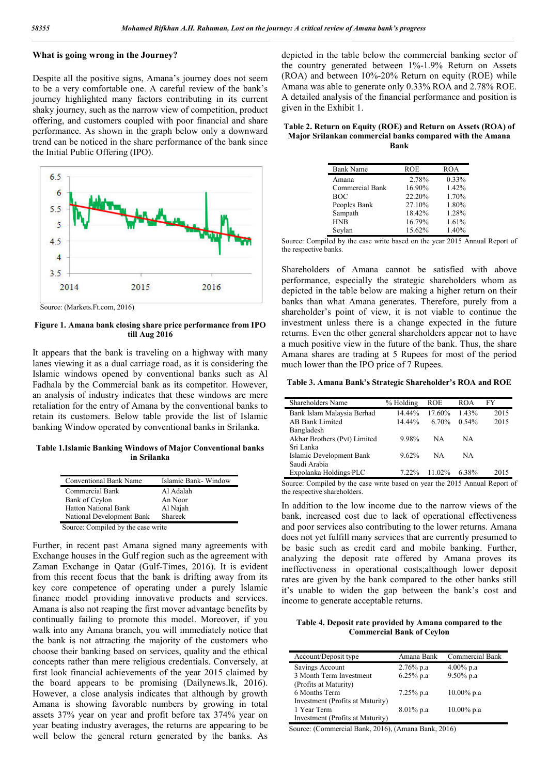#### **What is going wrong in the Journey?**

Despite all the positive signs, Amana's journey does not seem to be a very comfortable one. A careful review of the bank's journey highlighted many factors contributing in its current shaky journey, such as the narrow view of competition, product offering, and customers coupled with poor financial and share performance. As shown in the graph below only a downward trend can be noticed in the share performance of the bank since the Initial Public Offering (IPO).



Source: (Markets.Ft.com, 2016)

#### **Figure 1. Amana bank closing share price performance from IPO till Aug 2016**

It appears that the bank is traveling on a highway with many lanes viewing it as a dual carriage road, as it is considering the Islamic windows opened by conventional banks such as Al Fadhala by the Commercial bank as its competitor. However, an analysis of industry indicates that these windows are mere retaliation for the entry of Amana by the conventional banks to retain its customers. Below table provide the list of Islamic banking Window operated by conventional banks in Srilanka.

**Table 1.Islamic Banking Windows of Major Conventional banks in Srilanka**

| Conventional Bank Name             | Islamic Bank-Window |
|------------------------------------|---------------------|
| Commercial Bank                    | Al Adalah           |
| Bank of Ceylon                     | An Noor             |
| <b>Hatton National Bank</b>        | Al Najah            |
| National Development Bank          | Shareek             |
| Source: Compiled by the case write |                     |

Source: Compiled by the case write

Further, in recent past Amana signed many agreements with Exchange houses in the Gulf region such as the agreement with Zaman Exchange in Qatar (Gulf-Times, 2016). It is evident from this recent focus that the bank is drifting away from its key core competence of operating under a purely Islamic finance model providing innovative products and services. Amana is also not reaping the first mover advantage benefits by continually failing to promote this model. Moreover, if you walk into any Amana branch, you will immediately notice that the bank is not attracting the majority of the customers who choose their banking based on services, quality and the ethical concepts rather than mere religious credentials. Conversely, at first look financial achievements of the year 2015 claimed by the board appears to be promising (Dailynews.lk, 2016). However, a close analysis indicates that although by growth Amana is showing favorable numbers by growing in total assets 37% year on year and profit before tax 374% year on year beating industry averages, the returns are appearing to be well below the general return generated by the banks. As

depicted in the table below the commercial banking sector of the country generated between 1%-1.9% Return on Assets (ROA) and between 10%-20% Return on equity (ROE) while Amana was able to generate only 0.33% ROA and 2.78% ROE. A detailed analysis of the financial performance and position is given in the Exhibit 1.

| Table 2. Return on Equity (ROE) and Return on Assets (ROA) of |
|---------------------------------------------------------------|
| Major Srilankan commercial banks compared with the Amana      |
| Bank                                                          |

| <b>Bank Name</b> | ROE    | <b>ROA</b> |
|------------------|--------|------------|
| Amana            | 2.78%  | 0.33%      |
| Commercial Bank  | 16.90% | 1.42%      |
| <b>BOC</b>       | 22.20% | 1.70%      |
| Peoples Bank     | 27.10% | 1.80%      |
| Sampath          | 18.42% | 1.28%      |
| <b>HNB</b>       | 16.79% | 1.61%      |
| Seylan           | 15.62% | 1.40%      |

Source: Compiled by the case write based on the year 2015 Annual Report of the respective banks.

Shareholders of Amana cannot be satisfied with above performance, especially the strategic shareholders whom as depicted in the table below are making a higher return on their banks than what Amana generates. Therefore, purely from a shareholder's point of view, it is not viable to continue the investment unless there is a change expected in the future returns. Even the other general shareholders appear not to have a much positive view in the future of the bank. Thus, the share Amana shares are trading at 5 Rupees for most of the period much lower than the IPO price of 7 Rupees.

**Table 3. Amana Bank's Strategic Shareholder's ROA and ROE**

| Shareholders Name            | % Holding | <b>ROE</b> | ROA   | FY   |
|------------------------------|-----------|------------|-------|------|
| Bank Islam Malaysia Berhad   | 14.44%    | 17.60%     | 1.43% | 2015 |
| AB Bank Limited              | 14.44%    | 6.70%      | 0.54% | 2015 |
| Bangladesh                   |           |            |       |      |
| Akbar Brothers (Pvt) Limited | 9.98%     | NA         | NA    |      |
| Sri Lanka                    |           |            |       |      |
| Islamic Development Bank     | 9.62%     | NA         | NA    |      |
| Saudi Arabia                 |           |            |       |      |
| Expolanka Holdings PLC       | $7.22\%$  | $11.02\%$  | 638%  | 2015 |

Source: Compiled by the case write based on year the 2015 Annual Report of the respective shareholders.

In addition to the low income due to the narrow views of the bank, increased cost due to lack of operational effectiveness and poor services also contributing to the lower returns. Amana does not yet fulfill many services that are currently presumed to be basic such as credit card and mobile banking. Further, analyzing the deposit rate offered by Amana proves its ineffectiveness in operational costs;although lower deposit rates are given by the bank compared to the other banks still it's unable to widen the gap between the bank's cost and income to generate acceptable returns.

**Table 4. Deposit rate provided by Amana compared to the Commercial Bank of Ceylon**

| Account/Deposit type             | Amana Bank   | Commercial Bank |
|----------------------------------|--------------|-----------------|
| Savings Account                  | $2.76\%$ p.a | $4.00\%$ p.a    |
| 3 Month Term Investment          | $6.25%$ p.a  | $9.50\%$ p.a    |
| (Profits at Maturity)            |              |                 |
| 6 Months Term                    | $7.25\%$ p.a | $10.00\%$ p.a   |
| Investment (Profits at Maturity) |              |                 |
| 1 Year Term                      | $8.01\%$ p.a | $10.00\%$ p.a   |
| Investment (Profits at Maturity) |              |                 |

Source: (Commercial Bank, 2016), (Amana Bank, 2016)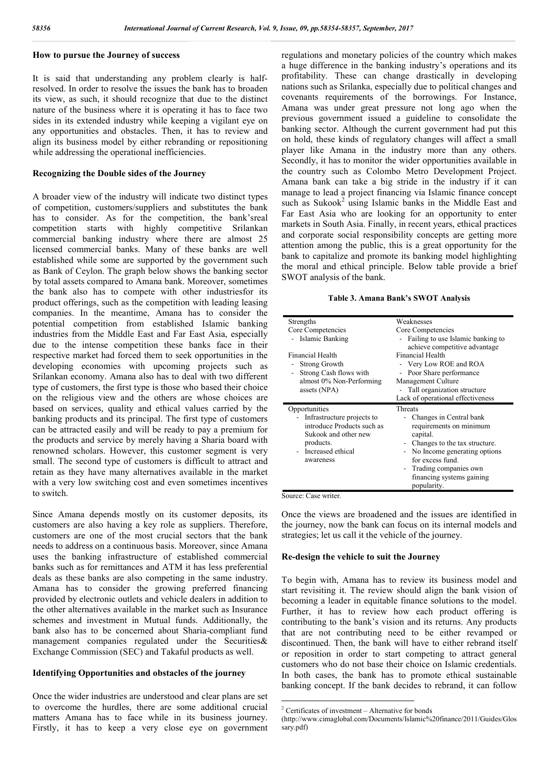### **How to pursue the Journey of success**

It is said that understanding any problem clearly is halfresolved. In order to resolve the issues the bank has to broaden its view, as such, it should recognize that due to the distinct nature of the business where it is operating it has to face two sides in its extended industry while keeping a vigilant eye on any opportunities and obstacles. Then, it has to review and align its business model by either rebranding or repositioning while addressing the operational inefficiencies.

#### **Recognizing the Double sides of the Journey**

A broader view of the industry will indicate two distinct types of competition, customers/suppliers and substitutes the bank has to consider. As for the competition, the bank'sreal competition starts with highly competitive Srilankan commercial banking industry where there are almost 25 licensed commercial banks. Many of these banks are well established while some are supported by the government such as Bank of Ceylon. The graph below shows the banking sector by total assets compared to Amana bank. Moreover, sometimes the bank also has to compete with other industriesfor its product offerings, such as the competition with leading leasing companies. In the meantime, Amana has to consider the potential competition from established Islamic banking industries from the Middle East and Far East Asia, especially due to the intense competition these banks face in their respective market had forced them to seek opportunities in the developing economies with upcoming projects such as Srilankan economy. Amana also has to deal with two different type of customers, the first type is those who based their choice on the religious view and the others are whose choices are based on services, quality and ethical values carried by the banking products and its principal. The first type of customers can be attracted easily and will be ready to pay a premium for the products and service by merely having a Sharia board with renowned scholars. However, this customer segment is very small. The second type of customers is difficult to attract and retain as they have many alternatives available in the market with a very low switching cost and even sometimes incentives to switch.

Since Amana depends mostly on its customer deposits, its customers are also having a key role as suppliers. Therefore, customers are one of the most crucial sectors that the bank needs to address on a continuous basis. Moreover, since Amana uses the banking infrastructure of established commercial banks such as for remittances and ATM it has less preferential deals as these banks are also competing in the same industry. Amana has to consider the growing preferred financing provided by electronic outlets and vehicle dealers in addition to the other alternatives available in the market such as Insurance schemes and investment in Mutual funds. Additionally, the bank also has to be concerned about Sharia-compliant fund management companies regulated under the Securities& Exchange Commission (SEC) and Takaful products as well.

### **Identifying Opportunities and obstacles of the journey**

Once the wider industries are understood and clear plans are set to overcome the hurdles, there are some additional crucial matters Amana has to face while in its business journey. Firstly, it has to keep a very close eye on government regulations and monetary policies of the country which makes a huge difference in the banking industry's operations and its profitability. These can change drastically in developing nations such as Srilanka, especially due to political changes and covenants requirements of the borrowings. For Instance, Amana was under great pressure not long ago when the previous government issued a guideline to consolidate the banking sector. Although the current government had put this on hold, these kinds of regulatory changes will affect a small player like Amana in the industry more than any others. Secondly, it has to monitor the wider opportunities available in the country such as Colombo Metro Development Project. Amana bank can take a big stride in the industry if it can manage to lead a project financing via Islamic finance concept such as  $Sukook<sup>2</sup>$  using Islamic banks in the Middle East and Far East Asia who are looking for an opportunity to enter markets in South Asia. Finally, in recent years, ethical practices and corporate social responsibility concepts are getting more attention among the public, this is a great opportunity for the bank to capitalize and promote its banking model highlighting the moral and ethical principle. Below table provide a brief SWOT analysis of the bank.

#### **Table 3. Amana Bank's SWOT Analysis**

| Weaknesses                                                                                                                                                                                                                            |  |
|---------------------------------------------------------------------------------------------------------------------------------------------------------------------------------------------------------------------------------------|--|
| Core Competencies                                                                                                                                                                                                                     |  |
| Failing to use Islamic banking to<br>$\sim$<br>achieve competitive advantage                                                                                                                                                          |  |
| Financial Health                                                                                                                                                                                                                      |  |
| - Very Low ROE and ROA                                                                                                                                                                                                                |  |
| Poor Share performance                                                                                                                                                                                                                |  |
| Management Culture                                                                                                                                                                                                                    |  |
| - Tall organization structure                                                                                                                                                                                                         |  |
| Lack of operational effectiveness                                                                                                                                                                                                     |  |
| Threats<br>Changes in Central bank<br>requirements on minimum<br>capital.<br>Changes to the tax structure.<br>- No Income generating options<br>for excess fund.<br>Trading companies own<br>financing systems gaining<br>popularity. |  |
|                                                                                                                                                                                                                                       |  |

Source: Case writer.

Once the views are broadened and the issues are identified in the journey, now the bank can focus on its internal models and strategies; let us call it the vehicle of the journey.

#### **Re-design the vehicle to suit the Journey**

To begin with, Amana has to review its business model and start revisiting it. The review should align the bank vision of becoming a leader in equitable finance solutions to the model. Further, it has to review how each product offering is contributing to the bank's vision and its returns. Any products that are not contributing need to be either revamped or discontinued. Then, the bank will have to either rebrand itself or reposition in order to start competing to attract general customers who do not base their choice on Islamic credentials. In both cases, the bank has to promote ethical sustainable banking concept. If the bank decides to rebrand, it can follow

 $2$  Certificates of investment – Alternative for bonds

<sup>(</sup>http://www.cimaglobal.com/Documents/Islamic%20finance/2011/Guides/Glos sary.pdf)